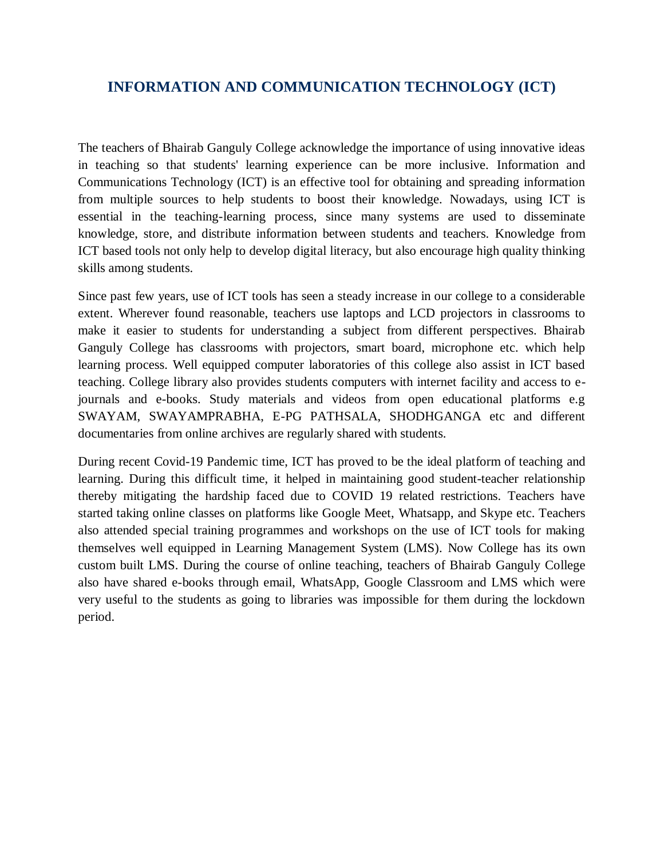## **INFORMATION AND COMMUNICATION TECHNOLOGY (ICT)**

The teachers of Bhairab Ganguly College acknowledge the importance of using innovative ideas in teaching so that students' learning experience can be more inclusive. Information and Communications Technology (ICT) is an effective tool for obtaining and spreading information from multiple sources to help students to boost their knowledge. Nowadays, using ICT is essential in the teaching-learning process, since many systems are used to disseminate knowledge, store, and distribute information between students and teachers. Knowledge from ICT based tools not only help to develop digital literacy, but also encourage high quality thinking skills among students.

Since past few years, use of ICT tools has seen a steady increase in our college to a considerable extent. Wherever found reasonable, teachers use laptops and LCD projectors in classrooms to make it easier to students for understanding a subject from different perspectives. Bhairab Ganguly College has classrooms with projectors, smart board, microphone etc. which help learning process. Well equipped computer laboratories of this college also assist in ICT based teaching. College library also provides students computers with internet facility and access to ejournals and e-books. Study materials and videos from open educational platforms e.g SWAYAM, SWAYAMPRABHA, E-PG PATHSALA, SHODHGANGA etc and different documentaries from online archives are regularly shared with students.

During recent Covid-19 Pandemic time, ICT has proved to be the ideal platform of teaching and learning. During this difficult time, it helped in maintaining good student-teacher relationship thereby mitigating the hardship faced due to COVID 19 related restrictions. Teachers have started taking online classes on platforms like Google Meet, Whatsapp, and Skype etc. Teachers also attended special training programmes and workshops on the use of ICT tools for making themselves well equipped in Learning Management System (LMS). Now College has its own custom built LMS. During the course of online teaching, teachers of Bhairab Ganguly College also have shared e-books through email, WhatsApp, Google Classroom and LMS which were very useful to the students as going to libraries was impossible for them during the lockdown period.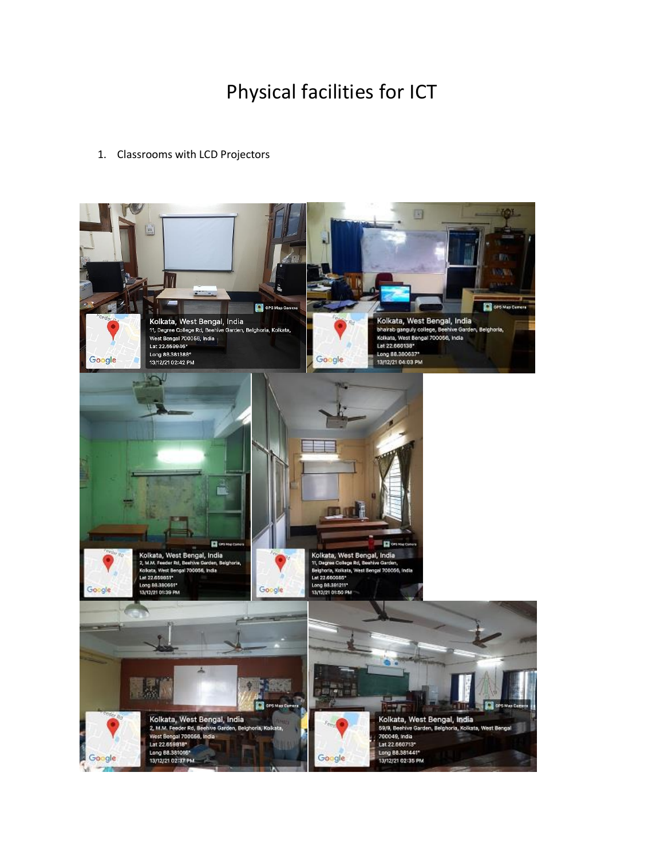## Physical facilities for ICT

1. Classrooms with LCD Projectors

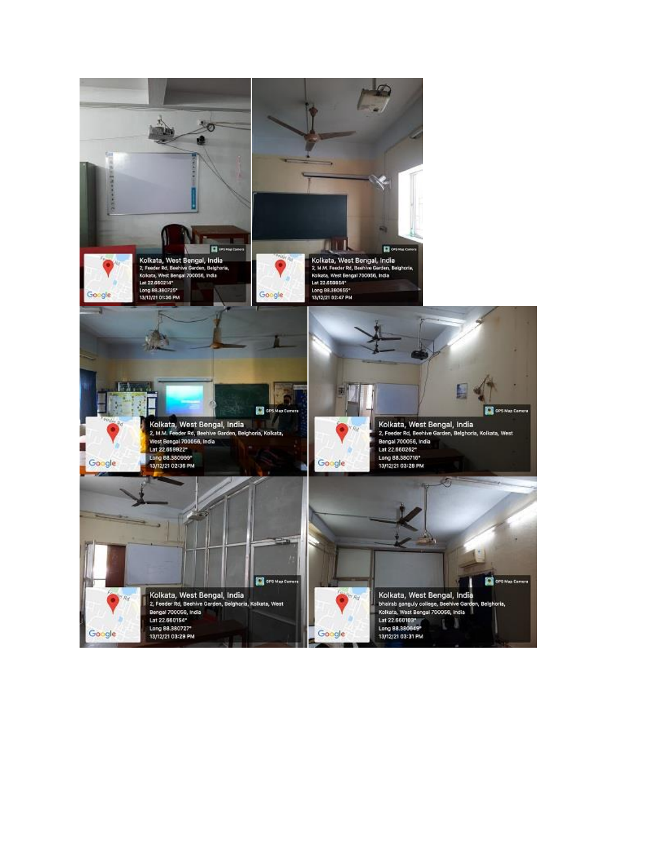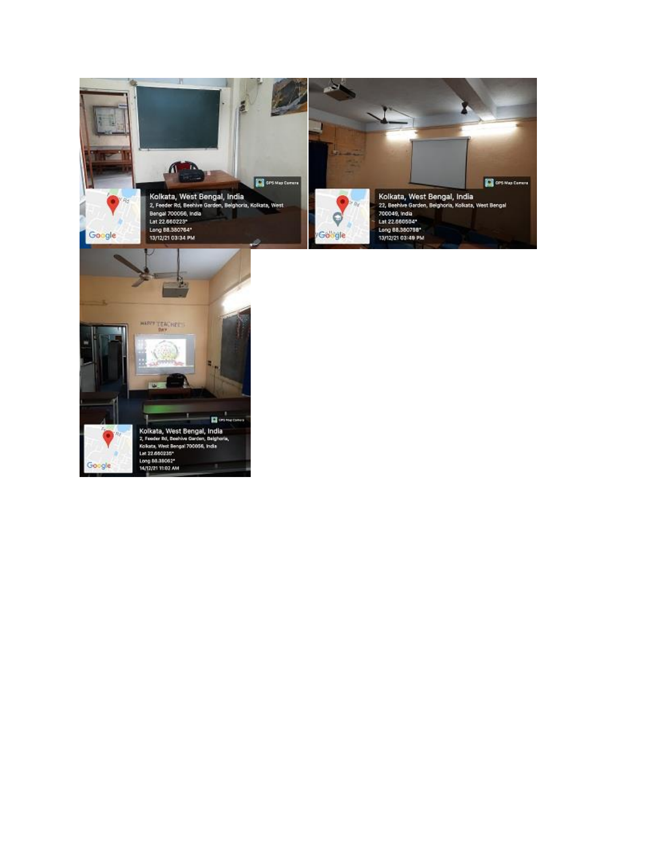

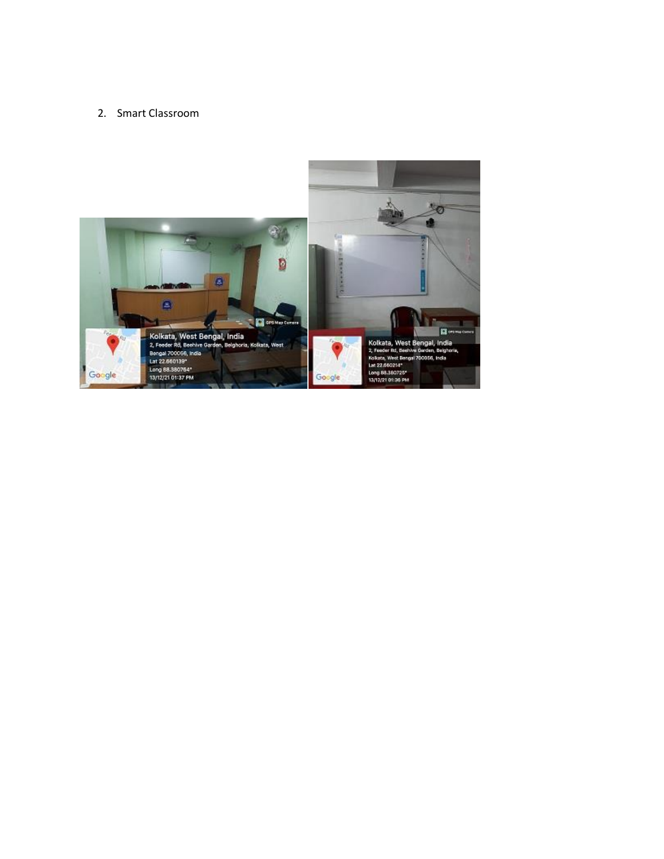## 2. Smart Classroom